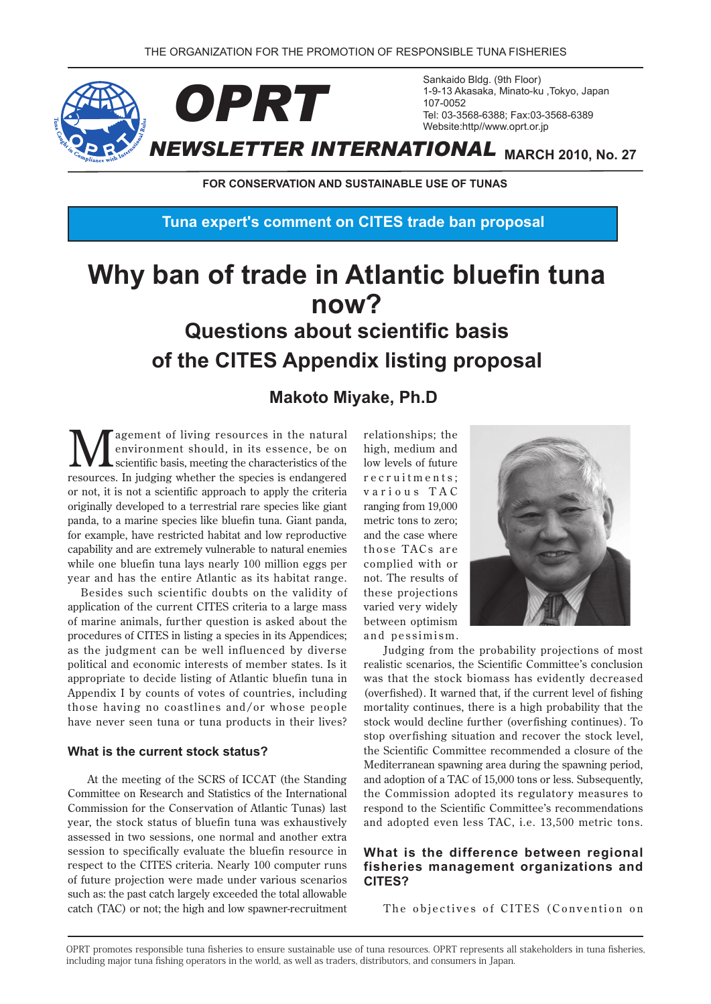

**FOR CONSERVATION AND SUSTAINABLE USE OF TUNAS** 

**Tuna expert's comment on CITES trade ban proposal** 

# **Why ban of trade in Atlantic bluefin tuna ?now Questions about scientific basis proposal of the CITES Appendix listing proposal**

# **Makoto Miyake, Ph.D**

**N**<br> **N** agement of living resources in the natural<br>
scientific basis, meeting the characteristics of the<br> **NAGEMENT ASSESSED OF MAGE ASSESS** environment should, in its essence, be on scientific basis, meeting the characteristics of the resources. In judging whether the species is endangered or not, it is not a scientific approach to apply the criteria originally developed to a terrestrial rare species like giant panda, to a marine species like bluefin tuna. Giant panda, for example, have restricted habitat and low reproductive capability and are extremely vulnerable to natural enemies while one bluefin tuna lays nearly 100 million eggs per year and has the entire Atlantic as its habitat range.

Besides such scientific doubts on the validity of application of the current CITES criteria to a large mass of marine animals, further question is asked about the procedures of CITES in listing a species in its Appendices: as the judgment can be well influenced by diverse political and economic interests of member states. Is it appropriate to decide listing of Atlantic bluefin tuna in Appendix I by counts of votes of countries, including those having no coastlines and/or whose people have never seen tuna or tuna products in their lives?

### **What is the current stock status?**

At the meeting of the SCRS of ICCAT (the Standing Committee on Research and Statistics of the International Commission for the Conservation of Atlantic Tunas) last vear, the stock status of bluefin tuna was exhaustively assessed in two sessions, one normal and another extra session to specifically evaluate the bluefin resource in respect to the CITES criteria. Nearly 100 computer runs of future projection were made under various scenarios such as: the past catch largely exceeded the total allowable catch (TAC) or not; the high and low spawner-recruitment relationships; the high, medium and low levels of future r e cruitments: various TAC ranging from 19,000 metric tons to zero; and the case where those TACs are complied with or not. The results of these projections varied very widely between optimism and pessimism.



Judging from the probability projections of most realistic scenarios, the Scientific Committee's conclusion was that the stock biomass has evidently decreased (overfished). It warned that, if the current level of fishing mortality continues, there is a high probability that the stock would decline further (overfishing continues). To stop overfishing situation and recover the stock level, the Scientific Committee recommended a closure of the Mediterranean spawning area during the spawning period, and adoption of a TAC of 15,000 tons or less. Subsequently, the Commission adopted its regulatory measures to respond to the Scientific Committee's recommendations and adopted even less TAC, i.e. 13,500 metric tons.

### **What is the difference between regional** fisheries management organizations and **?CITES**

The objectives of CITES (Convention on

OPRT promotes responsible tuna fisheries to ensure sustainable use of tuna resources. OPRT represents all stakeholders in tuna fisheries. including major tuna fishing operators in the world, as well as traders, distributors, and consumers in Japan.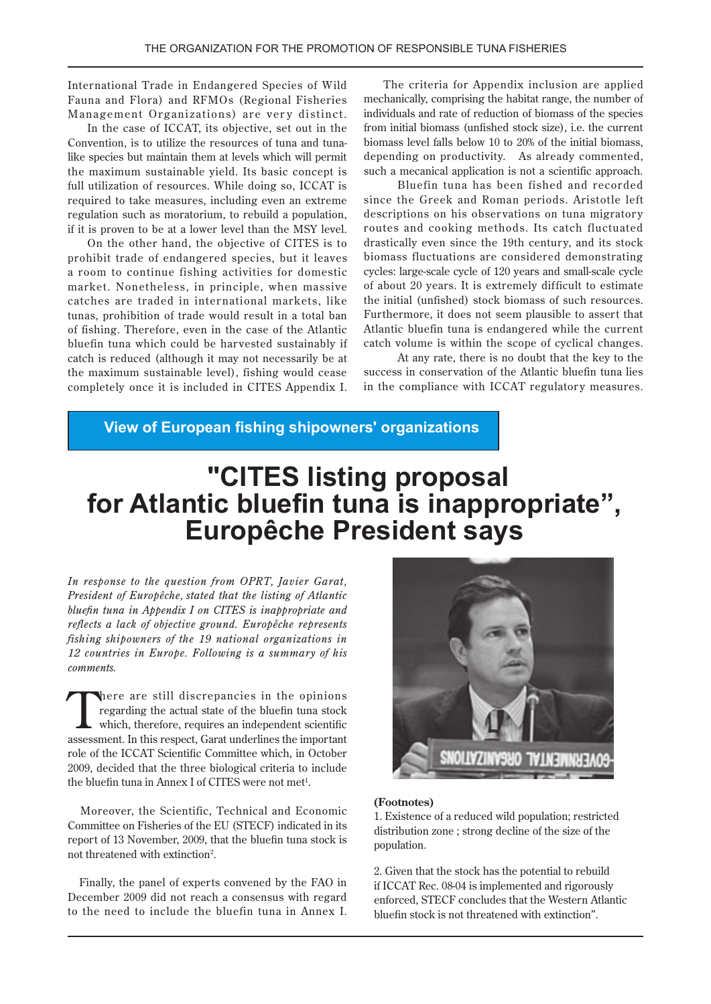International Trade in Endangered Species of Wild Fauna and Flora) and RFMOs (Regional Fisheries Management Organizations) are very distinct.

In the case of ICCAT, its objective, set out in the like species but maintain them at levels which will permit Convention, is to utilize the resources of tuna and tunathe maximum sustainable yield. Its basic concept is full utilization of resources. While doing so, ICCAT is required to take measures, including even an extreme regulation such as moratorium, to rebuild a population, if it is proven to be at a lower level than the MSY level.

On the other hand, the objective of CITES is to prohibit trade of endangered species, but it leaves a room to continue fishing activities for domestic market. Nonetheless, in principle, when massive catches are traded in international markets, like tunas, prohibition of trade would result in a total ban of fishing. Therefore, even in the case of the Atlantic bluefin tuna which could be harvested sustainably if catch is reduced (although it may not necessarily be at the maximum sustainable level), fishing would cease completely once it is included in CITES Appendix I.

The criteria for Appendix inclusion are applied mechanically, comprising the habitat range, the number of individuals and rate of reduction of biomass of the species from initial biomass (unfished stock size), i.e. the current biomass level falls below 10 to 20% of the initial biomass. depending on productivity. As already commented. such a mecanical application is not a scientific approach.

Bluefin tuna has been fished and recorded since the Greek and Roman periods. Aristotle left descriptions on his observations on tuna migratory routes and cooking methods. Its catch fluctuated drastically even since the 19th century, and its stock biomass fluctuations are considered demonstrating cycles: large-scale cycle of 120 years and small-scale cycle of about 20 years. It is extremely difficult to estimate the initial (unfished) stock biomass of such resources. Furthermore, it does not seem plausible to assert that Atlantic bluefin tuna is endangered while the current catch volume is within the scope of cyclical changes.

At any rate, there is no doubt that the key to the success in conservation of the Atlantic bluefin tuna lies in the compliance with ICCAT regulatory measures.

**View of European fishing shipowners' organizations** 

# **"CITES listing proposal** for Atlantic bluefin tuna is inappropriate", **Europêche President says**

*In response to the question from OPRT, Javier Garat, President of Europêche, stated that the listing of Atlantic bluefin tuna in Appendix I on CITES is inappropriate and reflects a lack of objective ground. Europêche represents fishing shipowners of the 19 national organizations in* 12 countries in Europe. Following is a summary of his  *.comments*

There are still discrepancies in the opinions<br>regarding the actual state of the bluefin tuna stock<br>which, therefore, requires an independent scientific regarding the actual state of the bluefin tuna stock which, therefore, requires an independent scientific assessment. In this respect, Garat underlines the important role of the ICCAT Scientific Committee which, in October 2009, decided that the three biological criteria to include the bluefin tuna in Annex I of CITES were not met<sup>1</sup>.

Moreover, the Scientific, Technical and Economic Committee on Fisheries of the EU (STECF) indicated in its report of 13 November, 2009, that the bluefin tuna stock is not threatened with extinction<sup>2</sup>.

Finally, the panel of experts convened by the FAO in December 2009 did not reach a consensus with regard to the need to include the bluefin tuna in Annex I.



#### **(Footnotes(**

1. Existence of a reduced wild population; restricted distribution zone; strong decline of the size of the population.

2. Given that the stock has the potential to rebuild if ICCAT Rec. 08-04 is implemented and rigorously enforced. STECF concludes that the Western Atlantic bluefin stock is not threatened with extinction".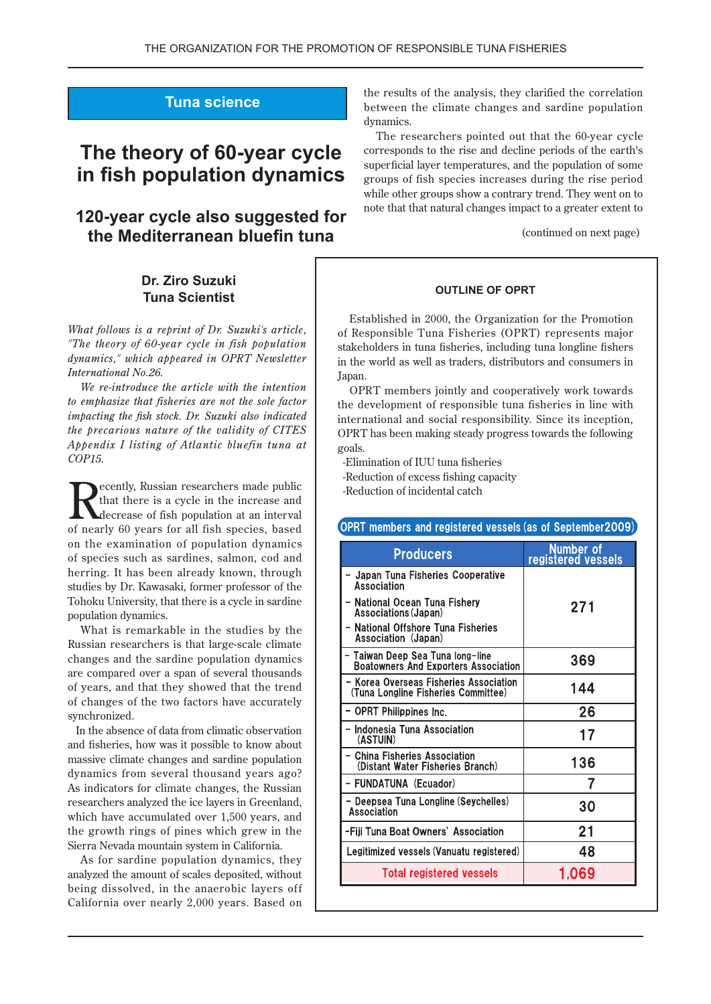## **Tuna** science

# **The theory of 60-year cycle in fish population dynamics**

## **120-year cycle also suggested for the Mediterranean bluefin tuna**

### **Dr. Ziro Suzuki Tuna Scientist**

*What follows is a reprint of Dr. Suzuki's article, "The theory of 60-year cycle in fish population* dynamics." which appeared in OPRT Newsletter *International* No. 26.

*We re-introduce the article with the intention to emphasize that fisheries are not the sole factor impacting the fish stock. Dr. Suzuki also indicated the precarious nature of the validity of CITES Appendix I listing of Atlantic bluefin tuna at*  $COP15.$ 

ecently, Russian researchers made public that there is a cycle in the increase and decrease of fish population at an interval of nearly 60 years for all fish species, based on the examination of population dynamics of species such as sardines, salmon, cod and herring. It has been already known, through studies by Dr. Kawasaki, former professor of the Tohoku University, that there is a cycle in sardine population dynamics.

What is remarkable in the studies by the Russian researchers is that large-scale climate changes and the sardine population dynamics are compared over a span of several thousands of years, and that they showed that the trend of changes of the two factors have accurately synchronized.

In the absence of data from climatic observation and fisheries, how was it possible to know about massive climate changes and sardine population dynamics from several thousand years ago? As indicators for climate changes, the Russian researchers analyzed the ice layers in Greenland, which have accumulated over 1,500 years, and the growth rings of pines which grew in the Sierra Nevada mountain system in California.

As for sardine population dynamics, they analyzed the amount of scales deposited, without being dissolved, in the anaerobic layers off California over nearly 2,000 years. Based on

the results of the analysis, they clarified the correlation between the climate changes and sardine population dynamics.

The researchers pointed out that the 60-year cycle corresponds to the rise and decline periods of the earth's superficial layer temperatures, and the population of some groups of fish species increases during the rise period while other groups show a contrary trend. They went on to note that that natural changes impact to a greater extent to

(continued on next page)

#### **OUTLINE OF OPRT**

Established in 2000, the Organization for the Promotion of Responsible Tuna Fisheries (OPRT) represents major stakeholders in tuna fisheries, including tuna longline fishers in the world as well as traders, distributors and consumers in .Japan

OPRT members jointly and cooperatively work towards the development of responsible tuna fisheries in line with international and social responsibility. Since its inception, OPRT has been making steady progress towards the following .goals

-Elimination of IUU tuna fisheries

-Reduction of excess fishing capacity

-Reduction of incidental catch

#### (OPRT members and registered vessels (as of September2009))

| <b>Producers</b>                                                                | Number of<br>registered vessels |
|---------------------------------------------------------------------------------|---------------------------------|
| - Japan Tuna Fisheries Cooperative<br>Association                               |                                 |
| - National Ocean Tuna Fishery<br>Associations (Japan)                           | 271                             |
| - National Offshore Tuna Fisheries<br>Association (Japan)                       |                                 |
| - Taiwan Deep Sea Tuna long-line<br><b>Boatowners And Exporters Association</b> | 369                             |
| - Korea Overseas Fisheries Association<br>(Tuna Longline Fisheries Committee)   | 144                             |
| - OPRT Philippines Inc.                                                         | 26                              |
| - Indonesia Tuna Association<br>(ASTUIN)                                        | 17                              |
| - China Fisheries Association<br>(Distant Water Fisheries Branch)               | 136                             |
| - FUNDATUNA (Ecuador)                                                           |                                 |
| - Deepsea Tuna Longline (Seychelles)<br>Association                             | 30                              |
| -Fiji Tuna Boat Owners' Association                                             | 21                              |
| Legitimized vessels (Vanuatu registered)                                        | 48                              |
| <b>Total registered vessels</b>                                                 | 1.069                           |